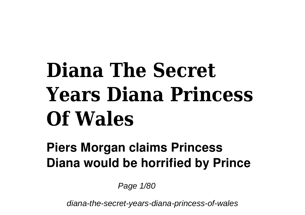# **Diana The Secret Years Diana Princess Of Wales**

## **Piers Morgan claims Princess Diana would be horrified by Prince**

Page 1/80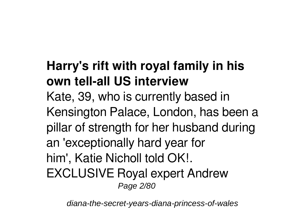# **Harry's rift with royal family in his own tell-all US interview**

Kate, 39, who is currently based in Kensington Palace, London, has been a pillar of strength for her husband during an 'exceptionally hard year for him', Katie Nicholl told OK!. EXCLUSIVE Royal expert Andrew Page 2/80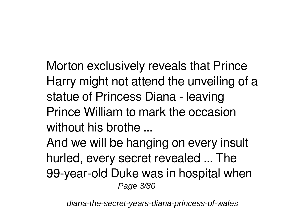Morton exclusively reveals that Prince Harry might not attend the unveiling of a statue of Princess Diana - leaving Prince William to mark the occasion without his brothe ...

And we will be hanging on every insult hurled, every secret revealed ... The 99-year-old Duke was in hospital when Page 3/80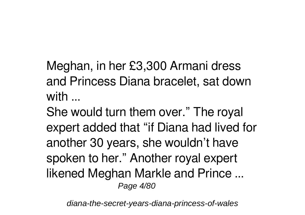Meghan, in her £3,300 Armani dress and Princess Diana bracelet, sat down with ...

She would turn them over." The royal expert added that "if Diana had lived for another 30 years, she wouldn't have spoken to her." Another royal expert likened Meghan Markle and Prince ... Page 4/80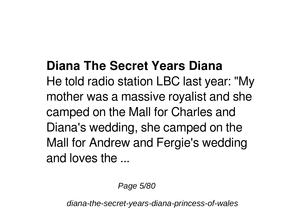### **Diana The Secret Years Diana**

He told radio station LBC last year: "My mother was a massive royalist and she camped on the Mall for Charles and Diana's wedding, she camped on the Mall for Andrew and Fergie's wedding and loves the ...

Page 5/80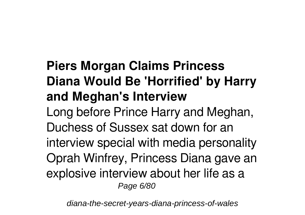# **Piers Morgan Claims Princess Diana Would Be 'Horrified' by Harry and Meghan's Interview**

Long before Prince Harry and Meghan, Duchess of Sussex sat down for an interview special with media personality Oprah Winfrey, Princess Diana gave an explosive interview about her life as a Page 6/80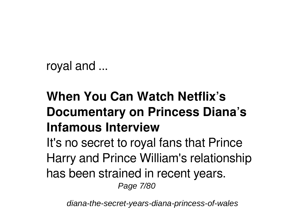```
royal and ...
```
# **When You Can Watch Netflix's Documentary on Princess Diana's Infamous Interview**

It's no secret to royal fans that Prince Harry and Prince William's relationship has been strained in recent years.

Page 7/80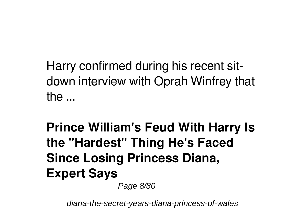Harry confirmed during his recent sitdown interview with Oprah Winfrey that the ...

# **Prince William's Feud With Harry Is the "Hardest" Thing He's Faced Since Losing Princess Diana, Expert Says**

Page 8/80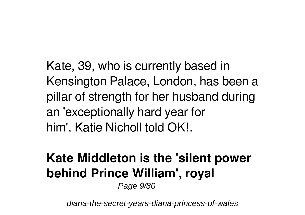Kate, 39, who is currently based in Kensington Palace, London, has been a pillar of strength for her husband during an 'exceptionally hard year for him', Katie Nicholl told OK!.

# **Kate Middleton is the 'silent power behind Prince William', royal**

Page 9/80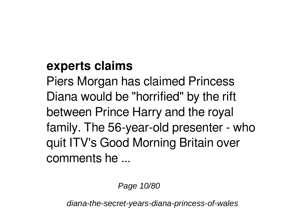#### **experts claims**

Piers Morgan has claimed Princess Diana would be "horrified" by the rift between Prince Harry and the royal family. The 56-year-old presenter - who quit ITV's Good Morning Britain over comments he ...

Page 10/80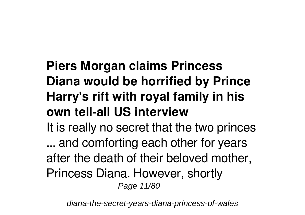# **Piers Morgan claims Princess Diana would be horrified by Prince Harry's rift with royal family in his own tell-all US interview**

It is really no secret that the two princes ... and comforting each other for years after the death of their beloved mother, Princess Diana. However, shortly Page 11/80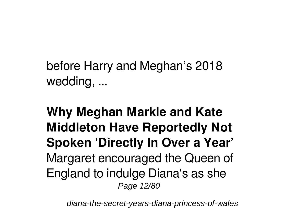before Harry and Meghan's 2018 wedding, ...

**Why Meghan Markle and Kate Middleton Have Reportedly Not Spoken 'Directly In Over a Year'** Margaret encouraged the Queen of England to indulge Diana's as she Page 12/80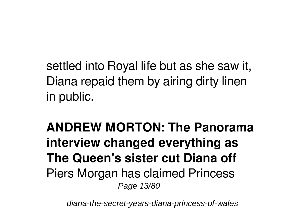settled into Royal life but as she saw it, Diana repaid them by airing dirty linen in public.

**ANDREW MORTON: The Panorama interview changed everything as The Queen's sister cut Diana off** Piers Morgan has claimed Princess Page 13/80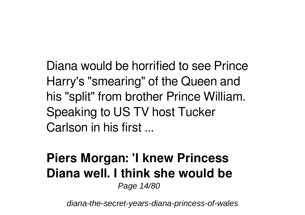Diana would be horrified to see Prince Harry's "smearing" of the Queen and his "split" from brother Prince William. Speaking to US TV host Tucker Carlson in his first ...

# **Piers Morgan: 'I knew Princess Diana well. I think she would be**

Page 14/80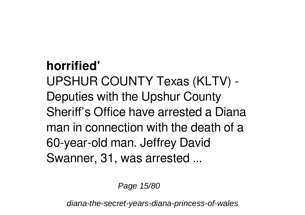#### **horrified'**

UPSHUR COUNTY Texas (KLTV) - Deputies with the Upshur County Sheriff's Office have arrested a Diana man in connection with the death of a 60-year-old man. Jeffrey David Swanner, 31, was arrested ...

Page 15/80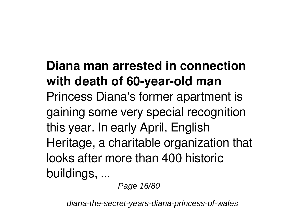# **Diana man arrested in connection with death of 60-year-old man** Princess Diana's former apartment is gaining some very special recognition this year. In early April, English Heritage, a charitable organization that looks after more than 400 historic buildings, ...

Page 16/80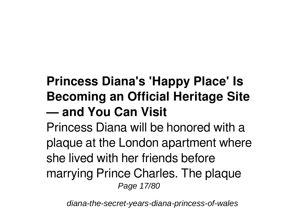# **Princess Diana's 'Happy Place' Is Becoming an Official Heritage Site — and You Can Visit**

Princess Diana will be honored with a plaque at the London apartment where she lived with her friends before marrying Prince Charles. The plaque Page 17/80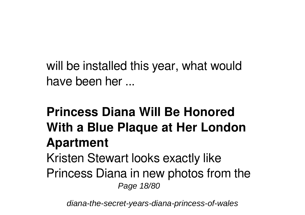will be installed this year, what would have been her ...

#### **Princess Diana Will Be Honored With a Blue Plaque at Her London Apartment** Kristen Stewart looks exactly like Princess Diana in new photos from the Page 18/80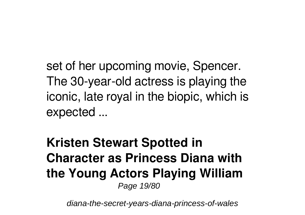set of her upcoming movie, Spencer. The 30-year-old actress is playing the iconic, late royal in the biopic, which is expected ...

**Kristen Stewart Spotted in Character as Princess Diana with the Young Actors Playing William** Page 19/80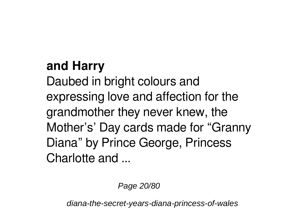### **and Harry**

Daubed in bright colours and expressing love and affection for the grandmother they never knew, the Mother's' Day cards made for "Granny Diana" by Prince George, Princess Charlotte and ...

Page 20/80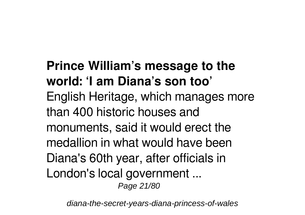#### **Prince William's message to the world: 'I am Diana's son too'** English Heritage, which manages more than 400 historic houses and monuments, said it would erect the medallion in what would have been Diana's 60th year, after officials in London's local government ... Page 21/80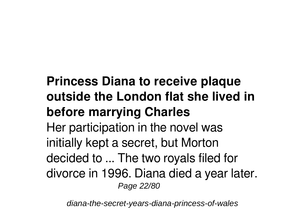# **Princess Diana to receive plaque outside the London flat she lived in before marrying Charles**

Her participation in the novel was initially kept a secret, but Morton decided to ... The two royals filed for divorce in 1996. Diana died a year later. Page 22/80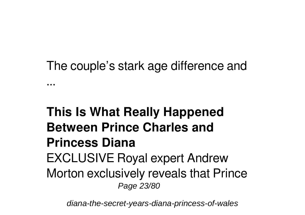#### The couple's stark age difference and

...

#### **This Is What Really Happened Between Prince Charles and Princess Diana** EXCLUSIVE Royal expert Andrew Morton exclusively reveals that Prince Page 23/80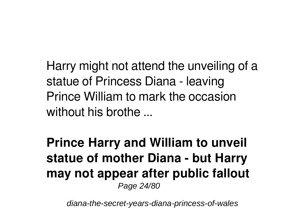Harry might not attend the unveiling of a statue of Princess Diana - leaving Prince William to mark the occasion without his brothe ...

**Prince Harry and William to unveil statue of mother Diana - but Harry may not appear after public fallout** Page 24/80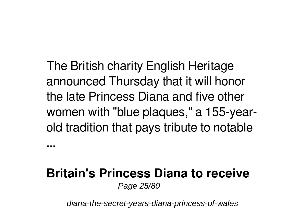The British charity English Heritage announced Thursday that it will honor the late Princess Diana and five other women with "blue plaques," a 155-yearold tradition that pays tribute to notable

#### **Britain's Princess Diana to receive** Page 25/80

...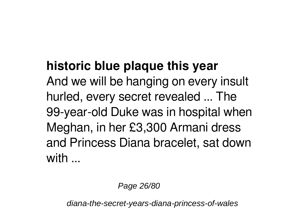#### **historic blue plaque this year**

And we will be hanging on every insult hurled, every secret revealed ... The 99-year-old Duke was in hospital when Meghan, in her £3,300 Armani dress and Princess Diana bracelet, sat down with  $\overline{\phantom{a}}$ 

Page 26/80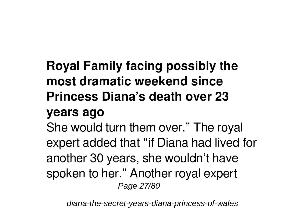# **Royal Family facing possibly the most dramatic weekend since Princess Diana's death over 23**

#### **years ago**

She would turn them over." The royal expert added that "if Diana had lived for another 30 years, she wouldn't have spoken to her." Another royal expert Page 27/80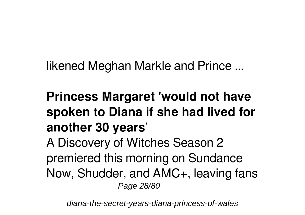likened Meghan Markle and Prince ...

# **Princess Margaret 'would not have spoken to Diana if she had lived for another 30 years'**

A Discovery of Witches Season 2 premiered this morning on Sundance Now, Shudder, and AMC+, leaving fans Page 28/80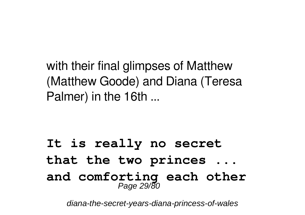with their final glimpses of Matthew (Matthew Goode) and Diana (Teresa Palmer) in the 16th ...

#### **It is really no secret that the two princes ... and comforting each other** Page 29/80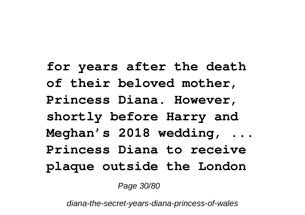**for years after the death of their beloved mother, Princess Diana. However, shortly before Harry and Meghan's 2018 wedding, ... Princess Diana to receive plaque outside the London**

Page 30/80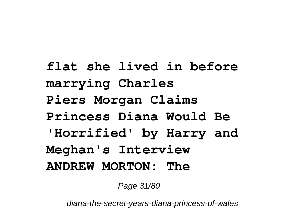**flat she lived in before marrying Charles Piers Morgan Claims Princess Diana Would Be 'Horrified' by Harry and Meghan's Interview ANDREW MORTON: The**

Page 31/80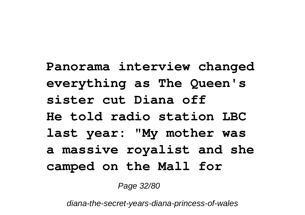**Panorama interview changed everything as The Queen's sister cut Diana off He told radio station LBC last year: "My mother was a massive royalist and she camped on the Mall for**

Page 32/80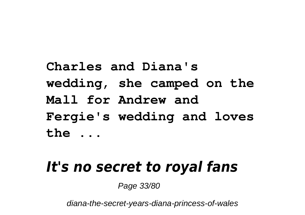**Charles and Diana's wedding, she camped on the Mall for Andrew and Fergie's wedding and loves the ...**

# *It's no secret to royal fans*

Page 33/80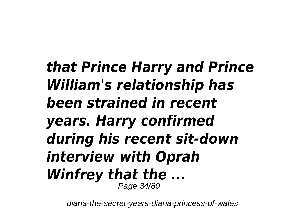*that Prince Harry and Prince William's relationship has been strained in recent years. Harry confirmed during his recent sit-down interview with Oprah Winfrey that the ...* Page 34/80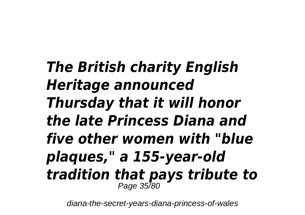# *The British charity English Heritage announced Thursday that it will honor the late Princess Diana and five other women with "blue plaques," a 155-year-old tradition that pays tribute to* Page 35/80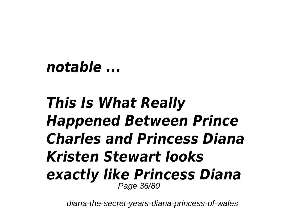## *notable ...*

# *This Is What Really Happened Between Prince Charles and Princess Diana Kristen Stewart looks exactly like Princess Diana* Page 36/80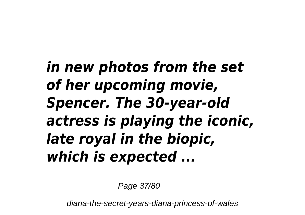*in new photos from the set of her upcoming movie, Spencer. The 30-year-old actress is playing the iconic, late royal in the biopic, which is expected ...*

Page 37/80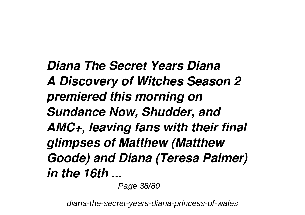*Diana The Secret Years Diana A Discovery of Witches Season 2 premiered this morning on Sundance Now, Shudder, and AMC+, leaving fans with their final glimpses of Matthew (Matthew Goode) and Diana (Teresa Palmer) in the 16th ...*

Page 38/80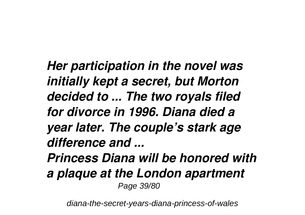*Her participation in the novel was initially kept a secret, but Morton decided to ... The two royals filed for divorce in 1996. Diana died a year later. The couple's stark age difference and ... Princess Diana will be honored with a plaque at the London apartment*

Page 39/80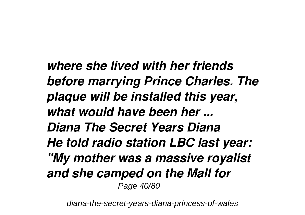*where she lived with her friends before marrying Prince Charles. The plaque will be installed this year, what would have been her ... Diana The Secret Years Diana He told radio station LBC last year: "My mother was a massive royalist and she camped on the Mall for* Page 40/80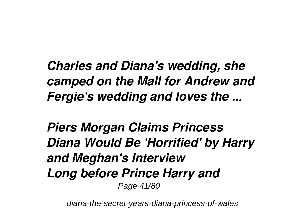*Charles and Diana's wedding, she camped on the Mall for Andrew and Fergie's wedding and loves the ...*

*Piers Morgan Claims Princess Diana Would Be 'Horrified' by Harry and Meghan's Interview Long before Prince Harry and* Page 41/80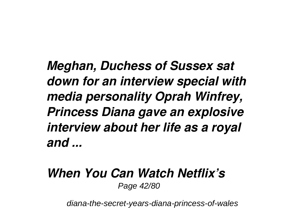*Meghan, Duchess of Sussex sat down for an interview special with media personality Oprah Winfrey, Princess Diana gave an explosive interview about her life as a royal and ...*

#### *When You Can Watch Netflix's* Page 42/80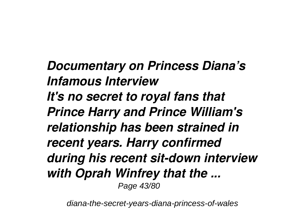*Documentary on Princess Diana's Infamous Interview It's no secret to royal fans that Prince Harry and Prince William's relationship has been strained in recent years. Harry confirmed during his recent sit-down interview with Oprah Winfrey that the ...* Page 43/80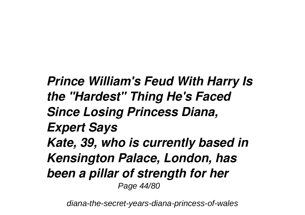*Prince William's Feud With Harry Is the "Hardest" Thing He's Faced Since Losing Princess Diana, Expert Says Kate, 39, who is currently based in Kensington Palace, London, has been a pillar of strength for her* Page 44/80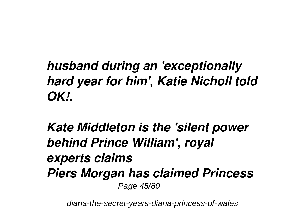## *husband during an 'exceptionally hard year for him', Katie Nicholl told OK!.*

#### *Kate Middleton is the 'silent power behind Prince William', royal experts claims Piers Morgan has claimed Princess* Page 45/80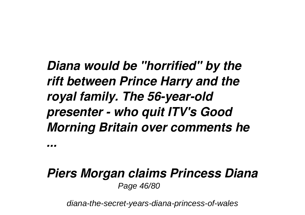## *Diana would be "horrified" by the rift between Prince Harry and the royal family. The 56-year-old presenter - who quit ITV's Good Morning Britain over comments he*

*...*

#### *Piers Morgan claims Princess Diana* Page 46/80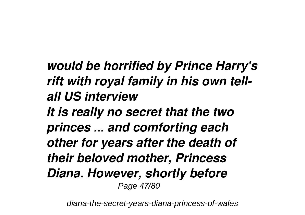# *would be horrified by Prince Harry's rift with royal family in his own tellall US interview*

*It is really no secret that the two princes ... and comforting each other for years after the death of their beloved mother, Princess Diana. However, shortly before* Page 47/80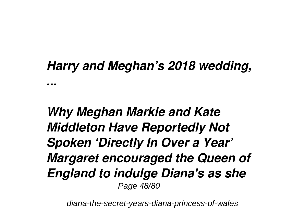#### *Harry and Meghan's 2018 wedding,*

*...*

### *Why Meghan Markle and Kate Middleton Have Reportedly Not Spoken 'Directly In Over a Year' Margaret encouraged the Queen of England to indulge Diana's as she* Page 48/80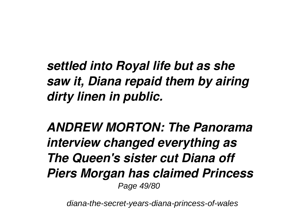## *settled into Royal life but as she saw it, Diana repaid them by airing dirty linen in public.*

*ANDREW MORTON: The Panorama interview changed everything as The Queen's sister cut Diana off Piers Morgan has claimed Princess* Page 49/80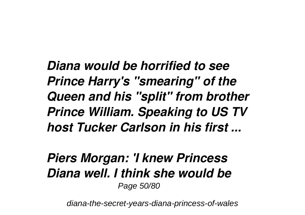*Diana would be horrified to see Prince Harry's "smearing" of the Queen and his "split" from brother Prince William. Speaking to US TV host Tucker Carlson in his first ...*

#### *Piers Morgan: 'I knew Princess Diana well. I think she would be* Page 50/80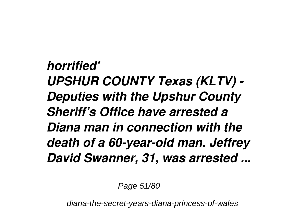*horrified' UPSHUR COUNTY Texas (KLTV) - Deputies with the Upshur County Sheriff's Office have arrested a Diana man in connection with the death of a 60-year-old man. Jeffrey David Swanner, 31, was arrested ...*

Page 51/80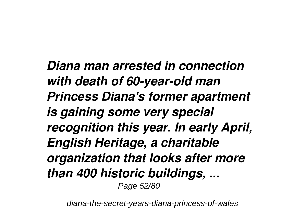*Diana man arrested in connection with death of 60-year-old man Princess Diana's former apartment is gaining some very special recognition this year. In early April, English Heritage, a charitable organization that looks after more than 400 historic buildings, ...* Page 52/80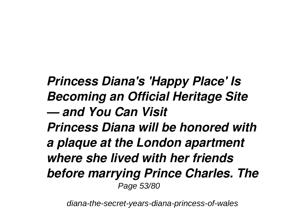*Princess Diana's 'Happy Place' Is Becoming an Official Heritage Site — and You Can Visit Princess Diana will be honored with a plaque at the London apartment where she lived with her friends before marrying Prince Charles. The* Page 53/80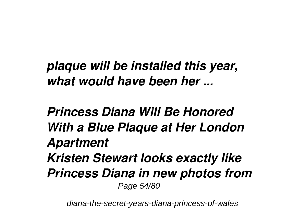*plaque will be installed this year, what would have been her ...*

*Princess Diana Will Be Honored With a Blue Plaque at Her London Apartment Kristen Stewart looks exactly like Princess Diana in new photos from* Page 54/80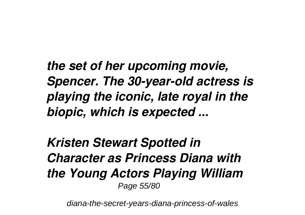*the set of her upcoming movie, Spencer. The 30-year-old actress is playing the iconic, late royal in the biopic, which is expected ...*

*Kristen Stewart Spotted in Character as Princess Diana with the Young Actors Playing William* Page 55/80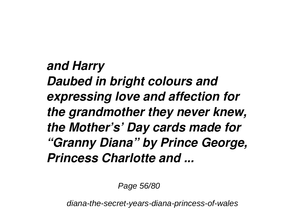*and Harry Daubed in bright colours and expressing love and affection for the grandmother they never knew, the Mother's' Day cards made for "Granny Diana" by Prince George, Princess Charlotte and ...*

Page 56/80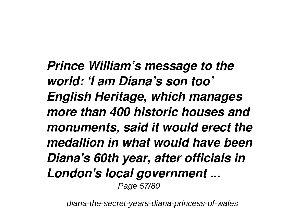*Prince William's message to the world: 'I am Diana's son too' English Heritage, which manages more than 400 historic houses and monuments, said it would erect the medallion in what would have been Diana's 60th year, after officials in London's local government ...* Page 57/80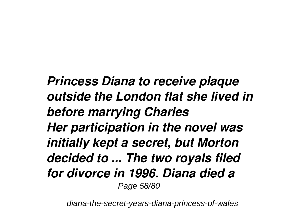*Princess Diana to receive plaque outside the London flat she lived in before marrying Charles Her participation in the novel was initially kept a secret, but Morton decided to ... The two royals filed for divorce in 1996. Diana died a* Page 58/80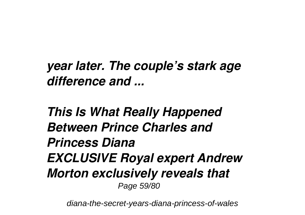*year later. The couple's stark age difference and ...*

*This Is What Really Happened Between Prince Charles and Princess Diana EXCLUSIVE Royal expert Andrew Morton exclusively reveals that* Page 59/80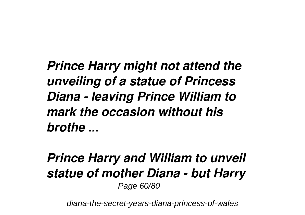*Prince Harry might not attend the unveiling of a statue of Princess Diana - leaving Prince William to mark the occasion without his brothe ...*

*Prince Harry and William to unveil statue of mother Diana - but Harry* Page 60/80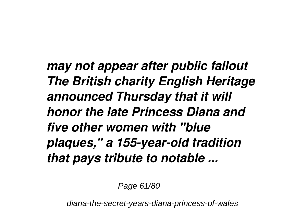*may not appear after public fallout The British charity English Heritage announced Thursday that it will honor the late Princess Diana and five other women with "blue plaques," a 155-year-old tradition that pays tribute to notable ...*

Page 61/80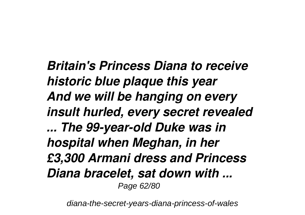*Britain's Princess Diana to receive historic blue plaque this year And we will be hanging on every insult hurled, every secret revealed ... The 99-year-old Duke was in hospital when Meghan, in her £3,300 Armani dress and Princess Diana bracelet, sat down with ...* Page 62/80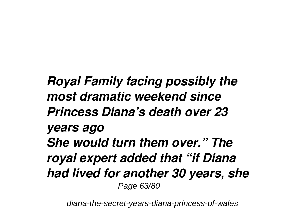*Royal Family facing possibly the most dramatic weekend since Princess Diana's death over 23 years ago She would turn them over." The royal expert added that "if Diana had lived for another 30 years, she* Page 63/80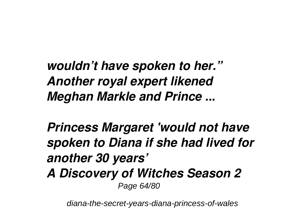*wouldn't have spoken to her." Another royal expert likened Meghan Markle and Prince ...*

*Princess Margaret 'would not have spoken to Diana if she had lived for another 30 years' A Discovery of Witches Season 2* Page 64/80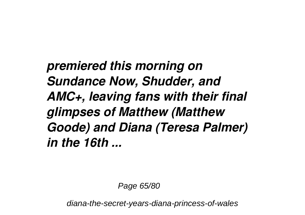*premiered this morning on Sundance Now, Shudder, and AMC+, leaving fans with their final glimpses of Matthew (Matthew Goode) and Diana (Teresa Palmer) in the 16th ...*

Page 65/80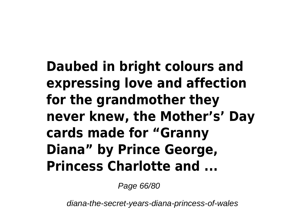**Daubed in bright colours and expressing love and affection for the grandmother they never knew, the Mother's' Day cards made for "Granny Diana" by Prince George, Princess Charlotte and ...**

Page 66/80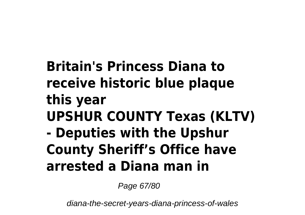# **Britain's Princess Diana to receive historic blue plaque this year UPSHUR COUNTY Texas (KLTV) - Deputies with the Upshur County Sheriff's Office have arrested a Diana man in**

Page 67/80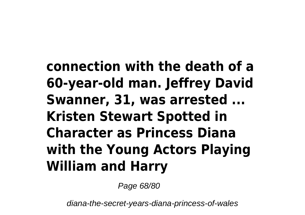# **connection with the death of a 60-year-old man. Jeffrey David Swanner, 31, was arrested ... Kristen Stewart Spotted in Character as Princess Diana with the Young Actors Playing William and Harry**

Page 68/80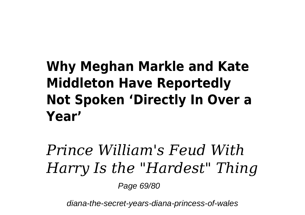# **Why Meghan Markle and Kate Middleton Have Reportedly Not Spoken 'Directly In Over a Year'**

# *Prince William's Feud With Harry Is the "Hardest" Thing*

Page 69/80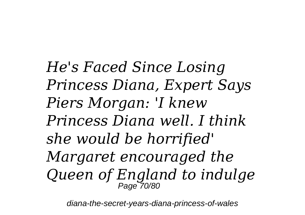*He's Faced Since Losing Princess Diana, Expert Says Piers Morgan: 'I knew Princess Diana well. I think she would be horrified' Margaret encouraged the Queen of England to indulge* Page 70/80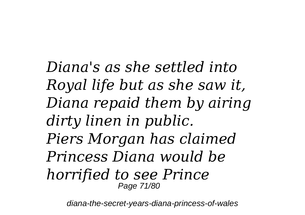*Diana's as she settled into Royal life but as she saw it, Diana repaid them by airing dirty linen in public. Piers Morgan has claimed Princess Diana would be horrified to see Prince* Page 71/80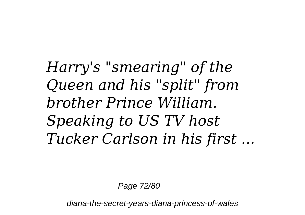*Harry's "smearing" of the Queen and his "split" from brother Prince William. Speaking to US TV host Tucker Carlson in his first ...*

Page 72/80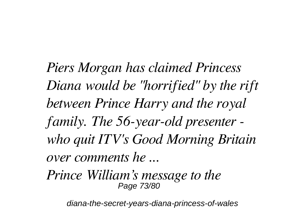*Piers Morgan has claimed Princess Diana would be "horrified" by the rift between Prince Harry and the royal family. The 56-year-old presenter who quit ITV's Good Morning Britain over comments he ...*

*Prince William's message to the* Page 73/80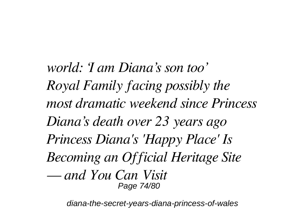*world: 'I am Diana's son too' Royal Family facing possibly the most dramatic weekend since Princess Diana's death over 23 years ago Princess Diana's 'Happy Place' Is Becoming an Official Heritage Site — and You Can Visit* Page 74/80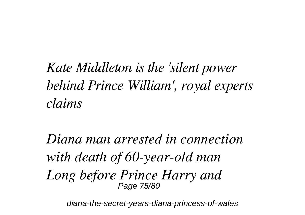*Kate Middleton is the 'silent power behind Prince William', royal experts claims*

*Diana man arrested in connection with death of 60-year-old man Long before Prince Harry and* Page 75/80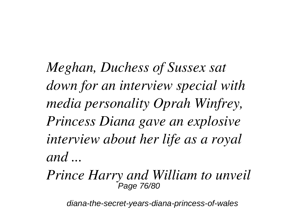*Meghan, Duchess of Sussex sat down for an interview special with media personality Oprah Winfrey, Princess Diana gave an explosive interview about her life as a royal and ...*

*Prince Harry and William to unveil* Page 76/80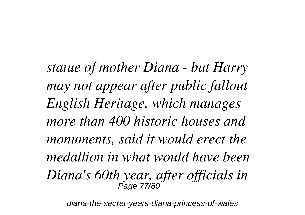*statue of mother Diana - but Harry may not appear after public fallout English Heritage, which manages more than 400 historic houses and monuments, said it would erect the medallion in what would have been Diana's 60th year, after officials in* Page 77/80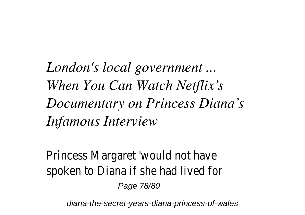*London's local government ... When You Can Watch Netflix's Documentary on Princess Diana's Infamous Interview*

Princess Margaret 'would not have spoken to Diana if she had lived for Page 78/80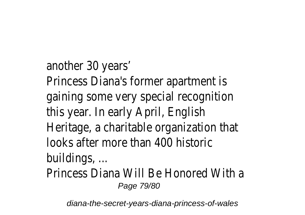another 30 years' Princess Diana's former apartment is gaining some very special recognition this year. In early April, English Heritage, a charitable organization that looks after more than 400 historic buildings, ...

Princess Diana Will Be Honored With a Page 79/80